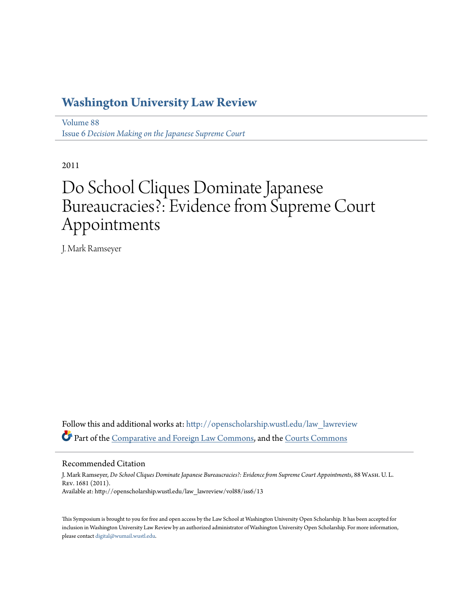## **[Washington University Law Review](http://openscholarship.wustl.edu/law_lawreview?utm_source=openscholarship.wustl.edu%2Flaw_lawreview%2Fvol88%2Fiss6%2F13&utm_medium=PDF&utm_campaign=PDFCoverPages)**

[Volume 88](http://openscholarship.wustl.edu/law_lawreview/vol88?utm_source=openscholarship.wustl.edu%2Flaw_lawreview%2Fvol88%2Fiss6%2F13&utm_medium=PDF&utm_campaign=PDFCoverPages) Issue 6 *[Decision Making on the Japanese Supreme Court](http://openscholarship.wustl.edu/law_lawreview/vol88/iss6?utm_source=openscholarship.wustl.edu%2Flaw_lawreview%2Fvol88%2Fiss6%2F13&utm_medium=PDF&utm_campaign=PDFCoverPages)*

2011

# Do School Cliques Dominate Japanese Bureaucracies?: Evidence from Supreme Court Appointments

J. Mark Ramseyer

Follow this and additional works at: [http://openscholarship.wustl.edu/law\\_lawreview](http://openscholarship.wustl.edu/law_lawreview?utm_source=openscholarship.wustl.edu%2Flaw_lawreview%2Fvol88%2Fiss6%2F13&utm_medium=PDF&utm_campaign=PDFCoverPages) Part of the [Comparative and Foreign Law Commons](http://network.bepress.com/hgg/discipline/836?utm_source=openscholarship.wustl.edu%2Flaw_lawreview%2Fvol88%2Fiss6%2F13&utm_medium=PDF&utm_campaign=PDFCoverPages), and the [Courts Commons](http://network.bepress.com/hgg/discipline/839?utm_source=openscholarship.wustl.edu%2Flaw_lawreview%2Fvol88%2Fiss6%2F13&utm_medium=PDF&utm_campaign=PDFCoverPages)

Recommended Citation

J. Mark Ramseyer, *Do School Cliques Dominate Japanese Bureaucracies?: Evidence from Supreme Court Appointments*, 88 Wash. U. L. Rev. 1681 (2011). Available at: http://openscholarship.wustl.edu/law\_lawreview/vol88/iss6/13

This Symposium is brought to you for free and open access by the Law School at Washington University Open Scholarship. It has been accepted for inclusion in Washington University Law Review by an authorized administrator of Washington University Open Scholarship. For more information, please contact [digital@wumail.wustl.edu.](mailto:digital@wumail.wustl.edu)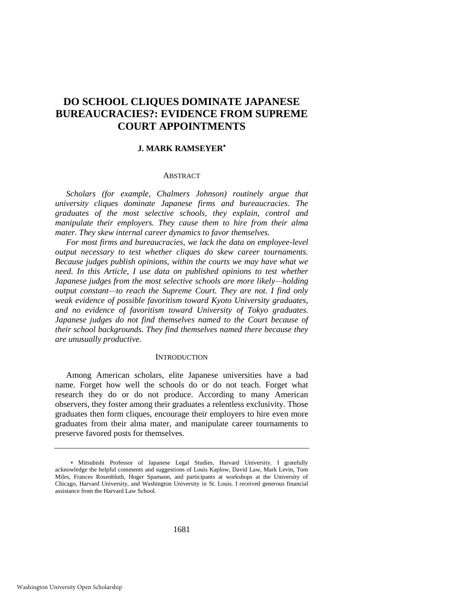### **DO SCHOOL CLIQUES DOMINATE JAPANESE BUREAUCRACIES?: EVIDENCE FROM SUPREME COURT APPOINTMENTS**

#### **J. MARK RAMSEYER**

#### ABSTRACT

*Scholars (for example, Chalmers Johnson) routinely argue that university cliques dominate Japanese firms and bureaucracies. The graduates of the most selective schools, they explain, control and manipulate their employers. They cause them to hire from their alma mater. They skew internal career dynamics to favor themselves.* 

*For most firms and bureaucracies, we lack the data on employee-level output necessary to test whether cliques do skew career tournaments. Because judges publish opinions, within the courts we may have what we need. In this Article, I use data on published opinions to test whether Japanese judges from the most selective schools are more likely—holding output constant—to reach the Supreme Court. They are not. I find only weak evidence of possible favoritism toward Kyoto University graduates, and no evidence of favoritism toward University of Tokyo graduates. Japanese judges do not find themselves named to the Court because of their school backgrounds. They find themselves named there because they are unusually productive*.

#### **INTRODUCTION**

Among American scholars, elite Japanese universities have a bad name. Forget how well the schools do or do not teach. Forget what research they do or do not produce. According to many American observers, they foster among their graduates a relentless exclusivity. Those graduates then form cliques, encourage their employers to hire even more graduates from their alma mater, and manipulate career tournaments to preserve favored posts for themselves.

Mitsubishi Professor of Japanese Legal Studies, Harvard University. I gratefully acknowledge the helpful comments and suggestions of Louis Kaplow, David Law, Mark Levin, Tom Miles, Frances Rosenbluth, Hoger Spamann, and participants at workshops at the University of Chicago, Harvard University, and Washington University in St. Louis. I received generous financial assistance from the Harvard Law School.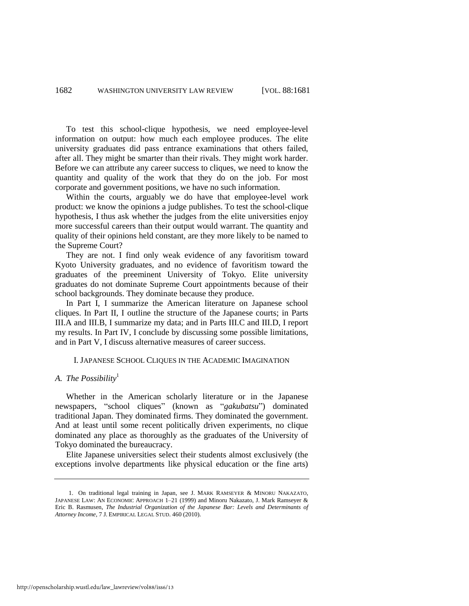To test this school-clique hypothesis, we need employee-level information on output: how much each employee produces. The elite university graduates did pass entrance examinations that others failed, after all. They might be smarter than their rivals. They might work harder. Before we can attribute any career success to cliques, we need to know the quantity and quality of the work that they do on the job. For most corporate and government positions, we have no such information.

Within the courts, arguably we do have that employee-level work product: we know the opinions a judge publishes. To test the school-clique hypothesis, I thus ask whether the judges from the elite universities enjoy more successful careers than their output would warrant. The quantity and quality of their opinions held constant, are they more likely to be named to the Supreme Court?

They are not. I find only weak evidence of any favoritism toward Kyoto University graduates, and no evidence of favoritism toward the graduates of the preeminent University of Tokyo. Elite university graduates do not dominate Supreme Court appointments because of their school backgrounds. They dominate because they produce.

In Part I, I summarize the American literature on Japanese school cliques. In Part II, I outline the structure of the Japanese courts; in Parts III.A and III.B, I summarize my data; and in Parts III.C and III.D, I report my results. In Part IV, I conclude by discussing some possible limitations, and in Part V, I discuss alternative measures of career success.

#### <span id="page-2-0"></span>I. JAPANESE SCHOOL CLIQUES IN THE ACADEMIC IMAGINATION

#### *A. The Possibility*<sup>1</sup>

Whether in the American scholarly literature or in the Japanese newspapers, "school cliques" (known as "*gakubatsu*") dominated traditional Japan. They dominated firms. They dominated the government. And at least until some recent politically driven experiments, no clique dominated any place as thoroughly as the graduates of the University of Tokyo dominated the bureaucracy.

Elite Japanese universities select their students almost exclusively (the exceptions involve departments like physical education or the fine arts)

<sup>1.</sup> On traditional legal training in Japan, see J. MARK RAMSEYER & MINORU NAKAZATO, JAPANESE LAW: AN ECONOMIC APPROACH 1-21 (1999) and Minoru Nakazato, J. Mark Ramseyer & Eric B. Rasmusen, *The Industrial Organization of the Japanese Bar: Levels and Determinants of Attorney Income*, 7 J. EMPIRICAL LEGAL STUD. 460 (2010).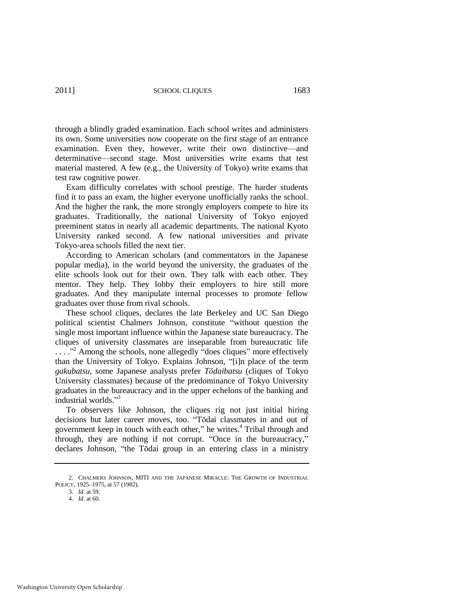through a blindly graded examination. Each school writes and administers its own. Some universities now cooperate on the first stage of an entrance examination. Even they, however, write their own distinctive—and determinative—second stage. Most universities write exams that test material mastered. A few (e.g., the University of Tokyo) write exams that test raw cognitive power.

Exam difficulty correlates with school prestige. The harder students find it to pass an exam, the higher everyone unofficially ranks the school. And the higher the rank, the more strongly employers compete to hire its graduates. Traditionally, the national University of Tokyo enjoyed preeminent status in nearly all academic departments. The national Kyoto University ranked second. A few national universities and private Tokyo-area schools filled the next tier.

According to American scholars (and commentators in the Japanese popular media), in the world beyond the university, the graduates of the elite schools look out for their own. They talk with each other. They mentor. They help. They lobby their employers to hire still more graduates. And they manipulate internal processes to promote fellow graduates over those from rival schools.

These school cliques, declares the late Berkeley and UC San Diego political scientist Chalmers Johnson, constitute "without question the single most important influence within the Japanese state bureaucracy. The cliques of university classmates are inseparable from bureaucratic life  $\ldots$   $\ldots$ <sup>32</sup> Among the schools, none allegedly "does cliques" more effectively than the University of Tokyo. Explains Johnson, "[i]n place of the term *gakubatsu*, some Japanese analysts prefer *Tōdaibatsu* (cliques of Tokyo University classmates) because of the predominance of Tokyo University graduates in the bureaucracy and in the upper echelons of the banking and industrial worlds."<sup>3</sup>

To observers like Johnson, the cliques rig not just initial hiring decisions but later career moves, too. "Tōdai classmates in and out of government keep in touch with each other," he writes.<sup>4</sup> Tribal through and through, they are nothing if not corrupt. "Once in the bureaucracy," declares Johnson, "the Tōdai group in an entering class in a ministry

<sup>2.</sup> CHALMERS JOHNSON, MITI AND THE JAPANESE MIRACLE: THE GROWTH OF INDUSTRIAL POLICY, 1925–1975, at 57 (1982).

<sup>3.</sup> *Id.* at 59.

<sup>4.</sup> *Id.* at 60.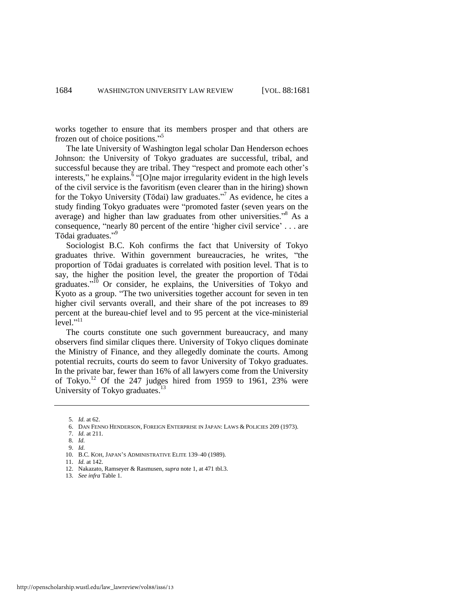works together to ensure that its members prosper and that others are frozen out of choice positions."<sup>5</sup>

The late University of Washington legal scholar Dan Henderson echoes Johnson: the University of Tokyo graduates are successful, tribal, and successful because they are tribal. They "respect and promote each other's interests," he explains.<sup> $\delta$ </sup> "[O]ne major irregularity evident in the high levels of the civil service is the favoritism (even clearer than in the hiring) shown for the Tokyo University (Tōdai) law graduates."<sup>7</sup> As evidence, he cites a study finding Tokyo graduates were "promoted faster (seven years on the average) and higher than law graduates from other universities."<sup>8</sup> As a consequence, "nearly 80 percent of the entire 'higher civil service'  $\dots$  are Tōdai graduates."<sup>9</sup>

Sociologist B.C. Koh confirms the fact that University of Tokyo graduates thrive. Within government bureaucracies, he writes, "the proportion of Tōdai graduates is correlated with position level. That is to say, the higher the position level, the greater the proportion of Tōdai graduates."<sup>10</sup> Or consider, he explains, the Universities of Tokyo and Kyoto as a group. "The two universities together account for seven in ten higher civil servants overall, and their share of the pot increases to 89 percent at the bureau-chief level and to 95 percent at the vice-ministerial  $\epsilon$  level."<sup>11</sup>

The courts constitute one such government bureaucracy, and many observers find similar cliques there. University of Tokyo cliques dominate the Ministry of Finance, and they allegedly dominate the courts. Among potential recruits, courts do seem to favor University of Tokyo graduates. In the private bar, fewer than 16% of all lawyers come from the University of Tokyo.<sup>12</sup> Of the 247 judges hired from 1959 to 1961, 23% were University of Tokyo graduates.<sup>13</sup>

- 8. *Id.*
- 9. *Id.*

- 11. *Id.* at 142.
- 12. Nakazato, Ramseyer & Rasmusen, *supra* not[e 1,](#page-2-0) at 471 tbl.3.
- 13. *See infra* Table 1.

<sup>5.</sup> *Id.* at 62.

<sup>6.</sup> DAN FENNO HENDERSON, FOREIGN ENTERPRISE IN JAPAN: LAWS & POLICIES 209 (1973).

<sup>7.</sup> *Id.* at 211.

<sup>10.</sup> B.C. KOH, JAPAN'S ADMINISTRATIVE ELITE 139–40 (1989).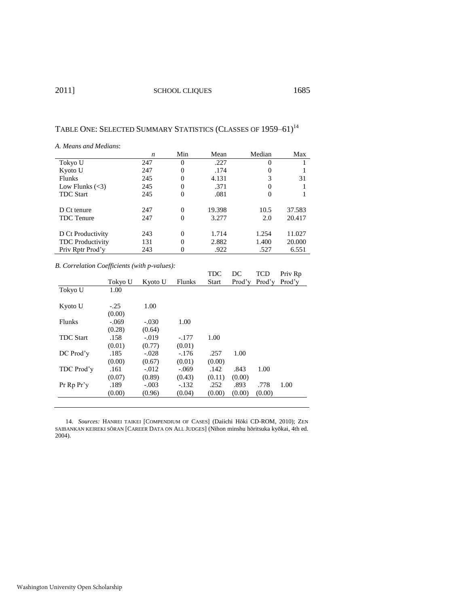### TABLE ONE: SELECTED SUMMARY STATISTICS (CLASSES OF 1959-61)<sup>14</sup>

*A. Means and Medians*:

|                         | n   | Min      | Mean   | Median   | Max    |
|-------------------------|-----|----------|--------|----------|--------|
| Tokyo U                 | 247 | $\Omega$ | .227   | $\Omega$ |        |
| Kyoto U                 | 247 | 0        | .174   |          |        |
| <b>Flunks</b>           | 245 | 0        | 4.131  | 3        | 31     |
| Low Flunks $(<3)$       | 245 |          | .371   |          |        |
| <b>TDC Start</b>        | 245 | $\Omega$ | .081   | 0        |        |
|                         |     |          |        |          |        |
| D Ct tenure             | 247 | $\Omega$ | 19.398 | 10.5     | 37.583 |
| <b>TDC</b> Tenure       | 247 | $\Omega$ | 3.277  | 2.0      | 20.417 |
|                         |     |          |        |          |        |
| D Ct Productivity       | 243 | $\Omega$ | 1.714  | 1.254    | 11.027 |
| <b>TDC</b> Productivity | 131 | $\Omega$ | 2.882  | 1.400    | 20.000 |
| Priv Rptr Prod'v        | 243 |          | .922   | .527     | 6.551  |
|                         |     |          |        |          |        |

*B. Correlation Coefficients (with p-values):* 

|                  |         |         |         | TDC          | DC     | TCD    | Priv Rp |
|------------------|---------|---------|---------|--------------|--------|--------|---------|
|                  | Tokyo U | Kyoto U | Flunks  | <b>Start</b> | Prod'y | Prod'v | Prod'v  |
| Tokyo U          | 1.00    |         |         |              |        |        |         |
| Kyoto U          | $-.25$  | 1.00    |         |              |        |        |         |
|                  | (0.00)  |         |         |              |        |        |         |
| Flunks           | $-.069$ | $-.030$ | 1.00    |              |        |        |         |
|                  | (0.28)  | (0.64)  |         |              |        |        |         |
| <b>TDC</b> Start | .158    | $-.019$ | $-.177$ | 1.00         |        |        |         |
|                  | (0.01)  | (0.77)  | (0.01)  |              |        |        |         |
| DC Prod'v        | .185    | $-.028$ | $-.176$ | .257         | 1.00   |        |         |
|                  | (0.00)  | (0.67)  | (0.01)  | (0.00)       |        |        |         |
| TDC Prod'y       | .161    | $-.012$ | $-.069$ | .142         | .843   | 1.00   |         |
|                  | (0.07)  | (0.89)  | (0.43)  | (0.11)       | (0.00) |        |         |
| Pr Rp Pr'y       | .189    | $-.003$ | $-.132$ | .252         | .893   | .778   | 1.00    |
|                  | (0.00)  | (0.96)  | (0.04)  | (0.00)       | (0.00) | (0.00) |         |
|                  |         |         |         |              |        |        |         |

14. *Sources:* HANREI TAIKEI [COMPENDIUM OF CASES] (Daiichi Hōki CD-ROM, 2010); ZEN SAIBANKAN KEIREKI SŌRAN [CAREER DATA ON ALL JUDGES] (Nihon minshu hōritsuka kyōkai, 4th ed. 2004).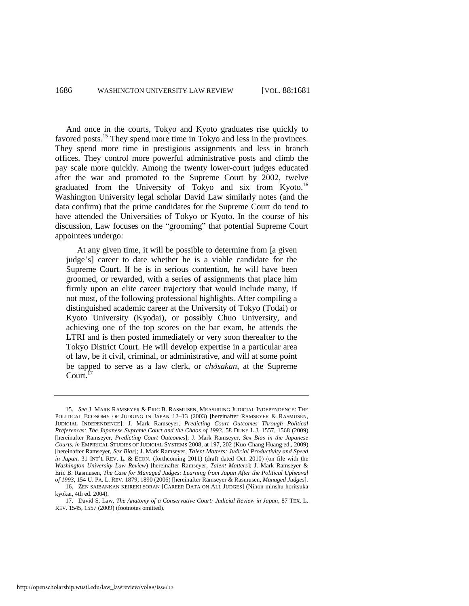<span id="page-6-0"></span>And once in the courts, Tokyo and Kyoto graduates rise quickly to favored posts.<sup>15</sup> They spend more time in Tokyo and less in the provinces. They spend more time in prestigious assignments and less in branch offices. They control more powerful administrative posts and climb the pay scale more quickly. Among the twenty lower-court judges educated after the war and promoted to the Supreme Court by 2002, twelve graduated from the University of Tokyo and six from Kyoto.<sup>16</sup> Washington University legal scholar David Law similarly notes (and the data confirm) that the prime candidates for the Supreme Court do tend to have attended the Universities of Tokyo or Kyoto. In the course of his discussion, Law focuses on the "grooming" that potential Supreme Court appointees undergo:

<span id="page-6-1"></span> At any given time, it will be possible to determine from [a given judge's] career to date whether he is a viable candidate for the Supreme Court. If he is in serious contention, he will have been groomed, or rewarded, with a series of assignments that place him firmly upon an elite career trajectory that would include many, if not most, of the following professional highlights. After compiling a distinguished academic career at the University of Tokyo (Todai) or Kyoto University (Kyodai), or possibly Chuo University, and achieving one of the top scores on the bar exam, he attends the LTRI and is then posted immediately or very soon thereafter to the Tokyo District Court. He will develop expertise in a particular area of law, be it civil, criminal, or administrative, and will at some point be tapped to serve as a law clerk, or *chōsakan*, at the Supreme Court.<sup>17</sup>

<sup>15.</sup> *See* J. MARK RAMSEYER & ERIC B. RASMUSEN, MEASURING JUDICIAL INDEPENDENCE: THE POLITICAL ECONOMY OF JUDGING IN JAPAN 12–13 (2003) [hereinafter RAMSEYER & RASMUSEN, JUDICIAL INDEPENDENCE]; J. Mark Ramseyer, *Predicting Court Outcomes Through Political Preferences: The Japanese Supreme Court and the Chaos of 1993*, 58 DUKE L.J. 1557, 1568 (2009) [hereinafter Ramseyer, *Predicting Court Outcomes*]; J. Mark Ramseyer, *Sex Bias in the Japanese Courts*, *in* EMPIRICAL STUDIES OF JUDICIAL SYSTEMS 2008, at 197, 202 (Kuo-Chang Huang ed., 2009) [hereinafter Ramseyer, *Sex Bias*]; J. Mark Ramseyer, *Talent Matters: Judicial Productivity and Speed in Japan*, 31 INT'L REV. L. & ECON. (forthcoming 2011) (draft dated Oct. 2010) (on file with the *Washington University Law Review*) [hereinafter Ramseyer, *Talent Matters*]; J. Mark Ramseyer & Eric B. Rasmusen, *The Case for Managed Judges: Learning from Japan After the Political Upheaval of 1993*, 154 U. PA. L. REV. 1879, 1890 (2006) [hereinafter Ramseyer & Rasmusen, *Managed Judges*].

<sup>16.</sup> ZEN SAIBANKAN KEIREKI SORAN [CAREER DATA ON ALL JUDGES] (Nihon minshu horitsuka kyokai, 4th ed. 2004).

<sup>17.</sup> David S. Law, *The Anatomy of a Conservative Court: Judicial Review in Japan*, 87 TEX. L. REV. 1545, 1557 (2009) (footnotes omitted).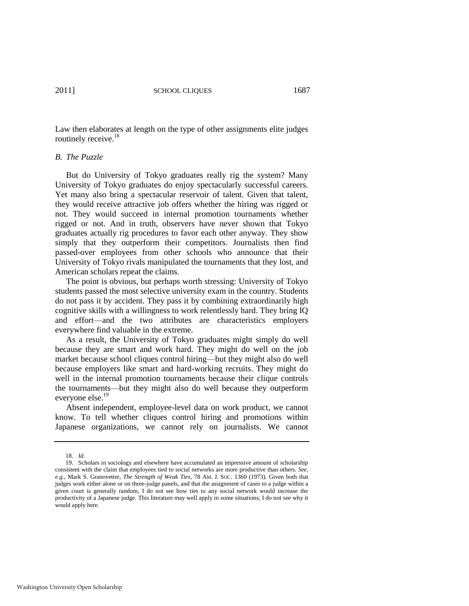Law then elaborates at length on the type of other assignments elite judges routinely receive.<sup>18</sup>

#### *B. The Puzzle*

But do University of Tokyo graduates really rig the system? Many University of Tokyo graduates do enjoy spectacularly successful careers. Yet many also bring a spectacular reservoir of talent. Given that talent, they would receive attractive job offers whether the hiring was rigged or not. They would succeed in internal promotion tournaments whether rigged or not. And in truth, observers have never shown that Tokyo graduates actually rig procedures to favor each other anyway. They show simply that they outperform their competitors. Journalists then find passed-over employees from other schools who announce that their University of Tokyo rivals manipulated the tournaments that they lost, and American scholars repeat the claims.

The point is obvious, but perhaps worth stressing: University of Tokyo students passed the most selective university exam in the country. Students do not pass it by accident. They pass it by combining extraordinarily high cognitive skills with a willingness to work relentlessly hard. They bring IQ and effort—and the two attributes are characteristics employers everywhere find valuable in the extreme.

As a result, the University of Tokyo graduates might simply do well because they are smart and work hard. They might do well on the job market because school cliques control hiring—but they might also do well because employers like smart and hard-working recruits. They might do well in the internal promotion tournaments because their clique controls the tournaments—but they might also do well because they outperform everyone else.<sup>19</sup>

Absent independent, employee-level data on work product, we cannot know. To tell whether cliques control hiring and promotions within Japanese organizations, we cannot rely on journalists. We cannot

<sup>18.</sup> *Id.*

<sup>19.</sup> Scholars in sociology and elsewhere have accumulated an impressive amount of scholarship consistent with the claim that employees tied to social networks are more productive than others. *See, e.g*., Mark S. Granovetter, *The Strength of Weak Ties*, 78 AM. J. SOC. 1360 (1973). Given both that judges work either alone or on three-judge panels, and that the assignment of cases to a judge within a given court is generally random, I do not see how ties to any social network would increase the productivity of a Japanese judge. This literature may well apply in some situations; I do not see why it would apply here.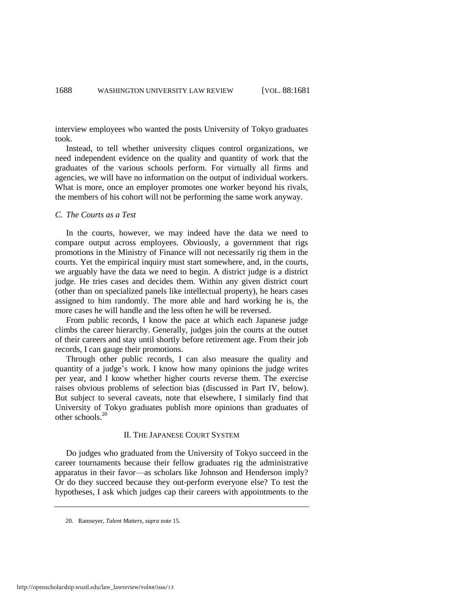interview employees who wanted the posts University of Tokyo graduates took.

Instead, to tell whether university cliques control organizations, we need independent evidence on the quality and quantity of work that the graduates of the various schools perform. For virtually all firms and agencies, we will have no information on the output of individual workers. What is more, once an employer promotes one worker beyond his rivals, the members of his cohort will not be performing the same work anyway.

#### *C. The Courts as a Test*

In the courts, however, we may indeed have the data we need to compare output across employees. Obviously, a government that rigs promotions in the Ministry of Finance will not necessarily rig them in the courts. Yet the empirical inquiry must start somewhere, and, in the courts, we arguably have the data we need to begin. A district judge is a district judge. He tries cases and decides them. Within any given district court (other than on specialized panels like intellectual property), he hears cases assigned to him randomly. The more able and hard working he is, the more cases he will handle and the less often he will be reversed.

From public records, I know the pace at which each Japanese judge climbs the career hierarchy. Generally, judges join the courts at the outset of their careers and stay until shortly before retirement age. From their job records, I can gauge their promotions.

Through other public records, I can also measure the quality and quantity of a judge's work. I know how many opinions the judge writes per year, and I know whether higher courts reverse them. The exercise raises obvious problems of selection bias (discussed in Part IV, below). But subject to several caveats, note that elsewhere, I similarly find that University of Tokyo graduates publish more opinions than graduates of other schools.<sup>20</sup>

#### II. THE JAPANESE COURT SYSTEM

Do judges who graduated from the University of Tokyo succeed in the career tournaments because their fellow graduates rig the administrative apparatus in their favor—as scholars like Johnson and Henderson imply? Or do they succeed because they out-perform everyone else? To test the hypotheses, I ask which judges cap their careers with appointments to the

<sup>20.</sup> Ramseyer, *Talent Matters*, *supra* note [15.](#page-6-0)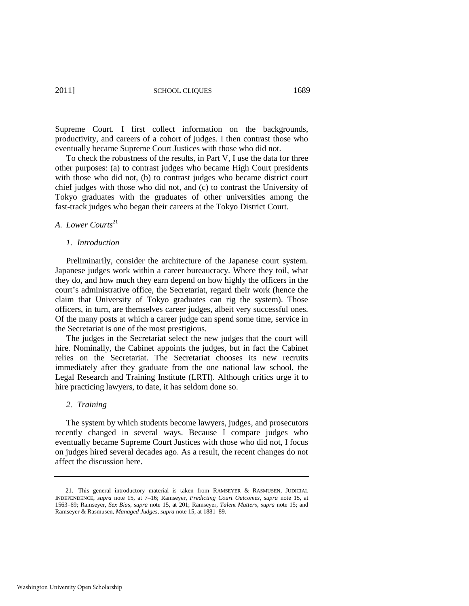2011] SCHOOL CLIQUES 1689

Supreme Court. I first collect information on the backgrounds, productivity, and careers of a cohort of judges. I then contrast those who eventually became Supreme Court Justices with those who did not.

To check the robustness of the results, in Part V, I use the data for three other purposes: (a) to contrast judges who became High Court presidents with those who did not, (b) to contrast judges who became district court chief judges with those who did not, and (c) to contrast the University of Tokyo graduates with the graduates of other universities among the fast-track judges who began their careers at the Tokyo District Court.

#### *A. Lower Courts*<sup>21</sup>

#### *1. Introduction*

Preliminarily, consider the architecture of the Japanese court system. Japanese judges work within a career bureaucracy. Where they toil, what they do, and how much they earn depend on how highly the officers in the court's administrative office, the Secretariat, regard their work (hence the claim that University of Tokyo graduates can rig the system). Those officers, in turn, are themselves career judges, albeit very successful ones. Of the many posts at which a career judge can spend some time, service in the Secretariat is one of the most prestigious.

The judges in the Secretariat select the new judges that the court will hire. Nominally, the Cabinet appoints the judges, but in fact the Cabinet relies on the Secretariat. The Secretariat chooses its new recruits immediately after they graduate from the one national law school, the Legal Research and Training Institute (LRTI). Although critics urge it to hire practicing lawyers, to date, it has seldom done so.

#### *2. Training*

The system by which students become lawyers, judges, and prosecutors recently changed in several ways. Because I compare judges who eventually became Supreme Court Justices with those who did not, I focus on judges hired several decades ago. As a result, the recent changes do not affect the discussion here.

<sup>21.</sup> This general introductory material is taken from RAMSEYER & RASMUSEN, JUDICIAL INDEPENDENCE, *supra* note [15,](#page-6-0) at 7–16; Ramseyer, *Predicting Court Outcomes*, *supra* note [15,](#page-6-0) at 1563–69; Ramseyer, *Sex Bias*, *supra* note [15,](#page-6-0) at 201; Ramseyer, *Talent Matters*, *supra* note [15;](#page-6-0) and Ramseyer & Rasmusen, *Managed Judges*, *supra* not[e 15,](#page-6-0) at 1881–89.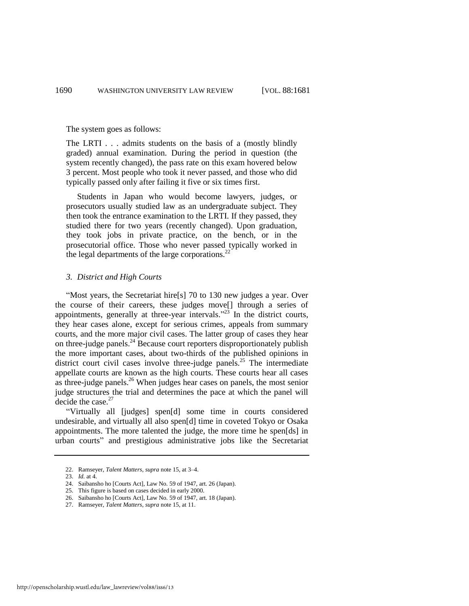The system goes as follows:

The LRTI . . . admits students on the basis of a (mostly blindly graded) annual examination. During the period in question (the system recently changed), the pass rate on this exam hovered below 3 percent. Most people who took it never passed, and those who did typically passed only after failing it five or six times first.

 Students in Japan who would become lawyers, judges, or prosecutors usually studied law as an undergraduate subject. They then took the entrance examination to the LRTI. If they passed, they studied there for two years (recently changed). Upon graduation, they took jobs in private practice, on the bench, or in the prosecutorial office. Those who never passed typically worked in the legal departments of the large corporations. $^{22}$ 

#### *3. District and High Courts*

"Most years, the Secretariat hire[s] 70 to 130 new judges a year. Over the course of their careers, these judges move[] through a series of appointments, generally at three-year intervals."<sup>23</sup> In the district courts, they hear cases alone, except for serious crimes, appeals from summary courts, and the more major civil cases. The latter group of cases they hear on three-judge panels.<sup>24</sup> Because court reporters disproportionately publish the more important cases, about two-thirds of the published opinions in district court civil cases involve three-judge panels.<sup>25</sup> The intermediate appellate courts are known as the high courts. These courts hear all cases as three-judge panels.<sup>26</sup> When judges hear cases on panels, the most senior judge structures the trial and determines the pace at which the panel will decide the case.<sup>27</sup>

―Virtually all [judges] spen[d] some time in courts considered undesirable, and virtually all also spen[d] time in coveted Tokyo or Osaka appointments. The more talented the judge, the more time he spen[ds] in urban courts‖ and prestigious administrative jobs like the Secretariat

<sup>22.</sup> Ramseyer, *Talent Matters*, *supra* not[e 15,](#page-6-0) at 3–4.

<sup>23.</sup> *Id.* at 4.

<sup>24.</sup> Saibansho ho [Courts Act], Law No. 59 of 1947, art. 26 (Japan).

<sup>25.</sup> This figure is based on cases decided in early 2000.

<sup>26.</sup> Saibansho ho [Courts Act], Law No. 59 of 1947, art. 18 (Japan).

<sup>27.</sup> Ramseyer, *Talent Matters*, *supra* not[e 15,](#page-6-0) at 11.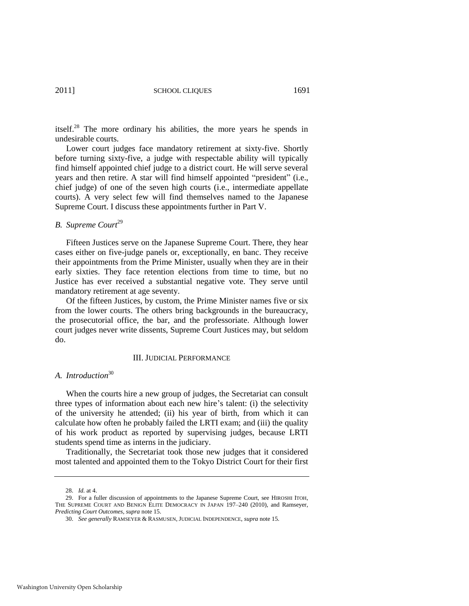itself.<sup>28</sup> The more ordinary his abilities, the more years he spends in undesirable courts.

Lower court judges face mandatory retirement at sixty-five. Shortly before turning sixty-five, a judge with respectable ability will typically find himself appointed chief judge to a district court. He will serve several years and then retire. A star will find himself appointed "president" (i.e., chief judge) of one of the seven high courts (i.e., intermediate appellate courts). A very select few will find themselves named to the Japanese Supreme Court. I discuss these appointments further in Part V.

#### **B.** Supreme Court<sup>29</sup>

Fifteen Justices serve on the Japanese Supreme Court. There, they hear cases either on five-judge panels or, exceptionally, en banc. They receive their appointments from the Prime Minister, usually when they are in their early sixties. They face retention elections from time to time, but no Justice has ever received a substantial negative vote. They serve until mandatory retirement at age seventy.

Of the fifteen Justices, by custom, the Prime Minister names five or six from the lower courts. The others bring backgrounds in the bureaucracy, the prosecutorial office, the bar, and the professoriate. Although lower court judges never write dissents, Supreme Court Justices may, but seldom do.

#### III. JUDICIAL PERFORMANCE

#### *A. Introduction*<sup>30</sup>

When the courts hire a new group of judges, the Secretariat can consult three types of information about each new hire's talent: (i) the selectivity of the university he attended; (ii) his year of birth, from which it can calculate how often he probably failed the LRTI exam; and (iii) the quality of his work product as reported by supervising judges, because LRTI students spend time as interns in the judiciary.

Traditionally, the Secretariat took those new judges that it considered most talented and appointed them to the Tokyo District Court for their first

<sup>28.</sup> *Id.* at 4.

<sup>29.</sup> For a fuller discussion of appointments to the Japanese Supreme Court, see HIROSHI ITOH, THE SUPREME COURT AND BENIGN ELITE DEMOCRACY IN JAPAN 197–240 (2010), and Ramseyer, *Predicting Court Outcomes*, *supra* not[e 15.](#page-6-0) 

<sup>30.</sup> *See generally* RAMSEYER & RASMUSEN, JUDICIAL INDEPENDENCE, *supra* note [15.](#page-6-0)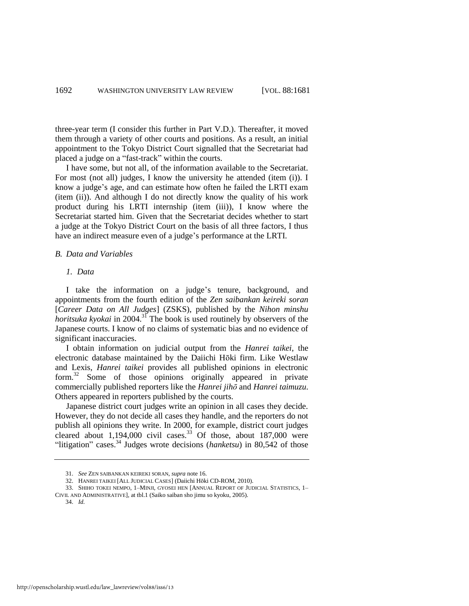three-year term (I consider this further in Part V.D.). Thereafter, it moved them through a variety of other courts and positions. As a result, an initial appointment to the Tokyo District Court signalled that the Secretariat had placed a judge on a "fast-track" within the courts.

I have some, but not all, of the information available to the Secretariat. For most (not all) judges, I know the university he attended (item (i)). I know a judge's age, and can estimate how often he failed the LRTI exam (item (ii)). And although I do not directly know the quality of his work product during his LRTI internship (item (iii)), I know where the Secretariat started him. Given that the Secretariat decides whether to start a judge at the Tokyo District Court on the basis of all three factors, I thus have an indirect measure even of a judge's performance at the LRTI.

#### *B. Data and Variables*

#### *1. Data*

I take the information on a judge's tenure, background, and appointments from the fourth edition of the *Zen saibankan keireki soran*  [*Career Data on All Judges*] (ZSKS), published by the *Nihon minshu horitsuka kyokai* in 2004.<sup>31</sup> The book is used routinely by observers of the Japanese courts. I know of no claims of systematic bias and no evidence of significant inaccuracies.

<span id="page-12-0"></span>I obtain information on judicial output from the *Hanrei taikei*, the electronic database maintained by the Daiichi Hōki firm. Like Westlaw and Lexis, *Hanrei taikei* provides all published opinions in electronic form.<sup>32</sup> Some of those opinions originally appeared in private commercially published reporters like the *Hanrei jihō* and *Hanrei taimuzu*. Others appeared in reporters published by the courts.

Japanese district court judges write an opinion in all cases they decide. However, they do not decide all cases they handle, and the reporters do not publish all opinions they write. In 2000, for example, district court judges cleared about  $1,194,000$  civil cases.<sup>33</sup> Of those, about  $187,000$  were "litigation" cases.<sup>34</sup> Judges wrote decisions (*hanketsu*) in 80,542 of those

<span id="page-12-2"></span><span id="page-12-1"></span><sup>31.</sup> *See* ZEN SAIBANKAN KEIREKI SORAN, *supra* not[e 16.](#page-6-1)

<sup>32.</sup> HANREI TAIKEI [ALL JUDICIAL CASES] (Daiichi Hōki CD-ROM, 2010).

<sup>33.</sup> SHIHO TOKEI NEMPO, 1–MINJI, GYOSEI HEN [ANNUAL REPORT OF JUDICIAL STATISTICS, 1– CIVIL AND ADMINISTRATIVE], at tbl.1 (Saiko saiban sho jimu so kyoku, 2005).

<sup>34.</sup> *Id.*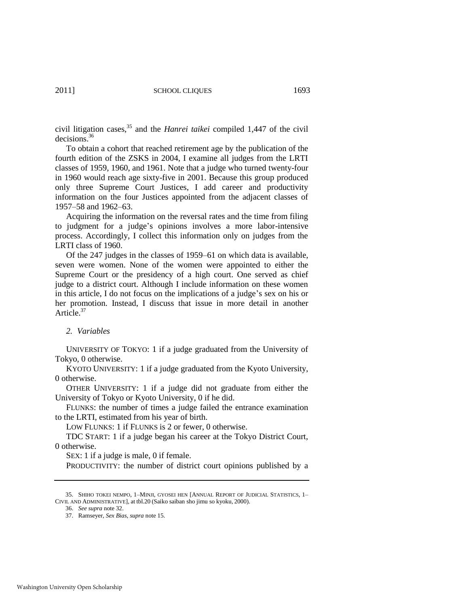civil litigation cases,<sup>35</sup> and the *Hanrei taikei* compiled 1,447 of the civil decisions.<sup>36</sup>

To obtain a cohort that reached retirement age by the publication of the fourth edition of the ZSKS in 2004, I examine all judges from the LRTI classes of 1959, 1960, and 1961. Note that a judge who turned twenty-four in 1960 would reach age sixty-five in 2001. Because this group produced only three Supreme Court Justices, I add career and productivity information on the four Justices appointed from the adjacent classes of 1957–58 and 1962–63.

Acquiring the information on the reversal rates and the time from filing to judgment for a judge's opinions involves a more labor-intensive process. Accordingly, I collect this information only on judges from the LRTI class of 1960.

Of the 247 judges in the classes of 1959–61 on which data is available, seven were women. None of the women were appointed to either the Supreme Court or the presidency of a high court. One served as chief judge to a district court. Although I include information on these women in this article, I do not focus on the implications of a judge's sex on his or her promotion. Instead, I discuss that issue in more detail in another Article.<sup>37</sup>

#### *2. Variables*

UNIVERSITY OF TOKYO: 1 if a judge graduated from the University of Tokyo, 0 otherwise.

KYOTO UNIVERSITY: 1 if a judge graduated from the Kyoto University, 0 otherwise.

OTHER UNIVERSITY: 1 if a judge did not graduate from either the University of Tokyo or Kyoto University, 0 if he did.

FLUNKS: the number of times a judge failed the entrance examination to the LRTI, estimated from his year of birth.

LOW FLUNKS: 1 if FLUNKS is 2 or fewer, 0 otherwise.

TDC START: 1 if a judge began his career at the Tokyo District Court, 0 otherwise.

SEX: 1 if a judge is male, 0 if female.

PRODUCTIVITY: the number of district court opinions published by a

<sup>35.</sup> SHIHO TOKEI NEMPO, 1–MINJI, GYOSEI HEN [ANNUAL REPORT OF JUDICIAL STATISTICS, 1– CIVIL AND ADMINISTRATIVE], at tbl.20 (Saiko saiban sho jimu so kyoku, 2000).

<sup>36.</sup> *See supra* not[e 32.](#page-12-0) 

<sup>37.</sup> Ramseyer, *Sex Bias*, *supra* not[e 15.](#page-6-0)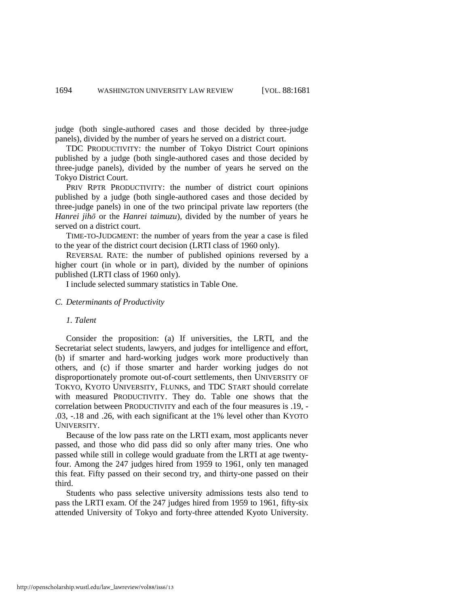judge (both single-authored cases and those decided by three-judge panels), divided by the number of years he served on a district court.

TDC PRODUCTIVITY: the number of Tokyo District Court opinions published by a judge (both single-authored cases and those decided by three-judge panels), divided by the number of years he served on the Tokyo District Court.

PRIV RPTR PRODUCTIVITY: the number of district court opinions published by a judge (both single-authored cases and those decided by three-judge panels) in one of the two principal private law reporters (the *Hanrei jihō* or the *Hanrei taimuzu*), divided by the number of years he served on a district court.

TIME-TO-JUDGMENT: the number of years from the year a case is filed to the year of the district court decision (LRTI class of 1960 only).

REVERSAL RATE: the number of published opinions reversed by a higher court (in whole or in part), divided by the number of opinions published (LRTI class of 1960 only).

I include selected summary statistics in Table One.

#### *C. Determinants of Productivity*

#### *1. Talent*

Consider the proposition: (a) If universities, the LRTI, and the Secretariat select students, lawyers, and judges for intelligence and effort, (b) if smarter and hard-working judges work more productively than others, and (c) if those smarter and harder working judges do not disproportionately promote out-of-court settlements, then UNIVERSITY OF TOKYO, KYOTO UNIVERSITY, FLUNKS, and TDC START should correlate with measured PRODUCTIVITY. They do. Table one shows that the correlation between PRODUCTIVITY and each of the four measures is .19, - .03, -.18 and .26, with each significant at the 1% level other than KYOTO UNIVERSITY.

Because of the low pass rate on the LRTI exam, most applicants never passed, and those who did pass did so only after many tries. One who passed while still in college would graduate from the LRTI at age twentyfour. Among the 247 judges hired from 1959 to 1961, only ten managed this feat. Fifty passed on their second try, and thirty-one passed on their third.

Students who pass selective university admissions tests also tend to pass the LRTI exam. Of the 247 judges hired from 1959 to 1961, fifty-six attended University of Tokyo and forty-three attended Kyoto University.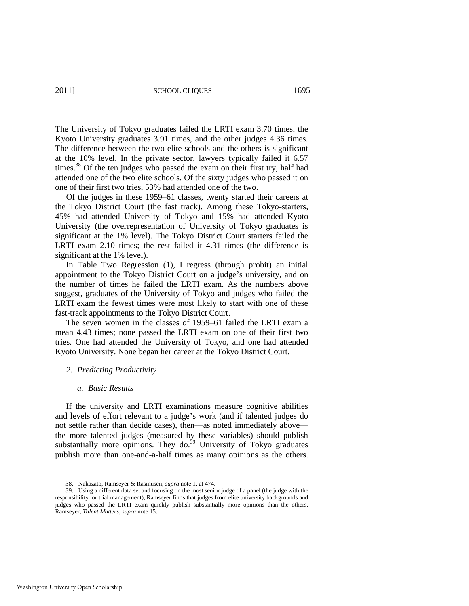2011] SCHOOL CLIQUES 1695

The University of Tokyo graduates failed the LRTI exam 3.70 times, the Kyoto University graduates 3.91 times, and the other judges 4.36 times. The difference between the two elite schools and the others is significant at the 10% level. In the private sector, lawyers typically failed it 6.57 times.<sup>38</sup> Of the ten judges who passed the exam on their first try, half had attended one of the two elite schools. Of the sixty judges who passed it on one of their first two tries, 53% had attended one of the two.

Of the judges in these 1959–61 classes, twenty started their careers at the Tokyo District Court (the fast track). Among these Tokyo-starters, 45% had attended University of Tokyo and 15% had attended Kyoto University (the overrepresentation of University of Tokyo graduates is significant at the 1% level). The Tokyo District Court starters failed the LRTI exam 2.10 times; the rest failed it 4.31 times (the difference is significant at the 1% level).

In Table Two Regression (1), I regress (through probit) an initial appointment to the Tokyo District Court on a judge's university, and on the number of times he failed the LRTI exam. As the numbers above suggest, graduates of the University of Tokyo and judges who failed the LRTI exam the fewest times were most likely to start with one of these fast-track appointments to the Tokyo District Court.

The seven women in the classes of 1959–61 failed the LRTI exam a mean 4.43 times; none passed the LRTI exam on one of their first two tries. One had attended the University of Tokyo, and one had attended Kyoto University. None began her career at the Tokyo District Court.

#### *2. Predicting Productivity*

#### *a. Basic Results*

If the university and LRTI examinations measure cognitive abilities and levels of effort relevant to a judge's work (and if talented judges do not settle rather than decide cases), then—as noted immediately above the more talented judges (measured by these variables) should publish substantially more opinions. They do.<sup>39</sup> University of Tokyo graduates publish more than one-and-a-half times as many opinions as the others.

<sup>38.</sup> Nakazato, Ramseyer & Rasmusen, *supra* not[e 1,](#page-2-0) at 474.

<sup>39.</sup> Using a different data set and focusing on the most senior judge of a panel (the judge with the responsibility for trial management), Ramseyer finds that judges from elite university backgrounds and judges who passed the LRTI exam quickly publish substantially more opinions than the others. Ramseyer, *Talent Matters*, *supra* not[e 15.](#page-6-0)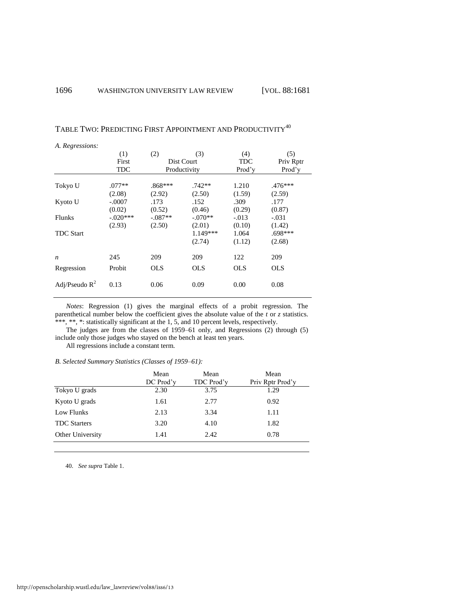| A. Regressions:  |            |            |              |            |            |
|------------------|------------|------------|--------------|------------|------------|
|                  | (1)        | (2)        | (3)          | (4)        | (5)        |
|                  | First      |            | Dist Court   | <b>TDC</b> | Priv Rptr  |
|                  | TDC        |            | Productivity | Prod'v     | Prod'y     |
|                  |            |            |              |            |            |
| Tokyo U          | $.077**$   | $.868***$  | $.742**$     | 1.210      | .476***    |
|                  | (2.08)     | (2.92)     | (2.50)       | (1.59)     | (2.59)     |
| Kyoto U          | $-.0007$   | .173       | .152         | .309       | .177       |
|                  | (0.02)     | (0.52)     | (0.46)       | (0.29)     | (0.87)     |
| <b>Flunks</b>    | $-.020***$ | $-.087**$  | $-.070**$    | $-.013$    | $-.031$    |
|                  | (2.93)     | (2.50)     | (2.01)       | (0.10)     | (1.42)     |
| <b>TDC</b> Start |            |            | 1.149***     | 1.064      | .698***    |
|                  |            |            | (2.74)       | (1.12)     | (2.68)     |
| $\boldsymbol{n}$ | 245        | 209        | 209          | 122        | 209        |
| Regression       | Probit     | <b>OLS</b> | <b>OLS</b>   | <b>OLS</b> | <b>OLS</b> |
| Adj/Pseudo $R^2$ | 0.13       | 0.06       | 0.09         | 0.00       | 0.08       |

TABLE TWO: PREDICTING FIRST APPOINTMENT AND PRODUCTIVITY<sup>40</sup>

*Notes*: Regression (1) gives the marginal effects of a probit regression. The parenthetical number below the coefficient gives the absolute value of the *t* or *z* statistics. \*\*\*, \*\*, \*: statistically significant at the 1, 5, and 10 percent levels, respectively.

The judges are from the classes of 1959–61 only, and Regressions (2) through (5) include only those judges who stayed on the bench at least ten years.

All regressions include a constant term.

*B. Selected Summary Statistics (Classes of 1959–61):* 

|                     | Mean<br>DC Prod'v | Mean<br>TDC Prod'v | Mean<br>Priv Rptr Prod'v |
|---------------------|-------------------|--------------------|--------------------------|
| Tokyo U grads       | 2.30              | 3.75               | 1.29                     |
| Kyoto U grads       | 1.61              | 2.77               | 0.92                     |
| Low Flunks          | 2.13              | 3.34               | 1.11                     |
| <b>TDC</b> Starters | 3.20              | 4.10               | 1.82                     |
| Other University    | 1.41              | 2.42               | 0.78                     |
|                     |                   |                    |                          |

40. *See supra* Table 1.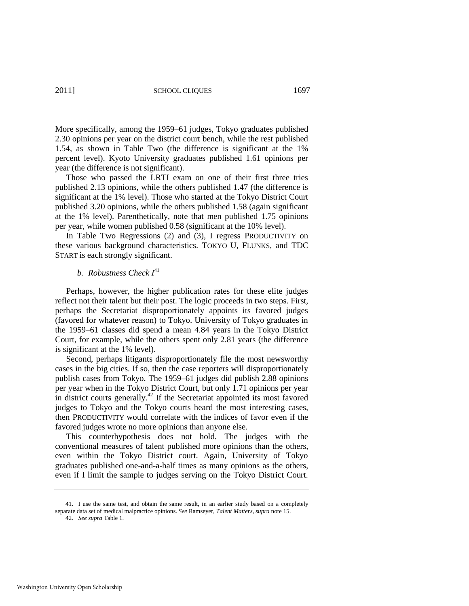More specifically, among the 1959–61 judges, Tokyo graduates published 2.30 opinions per year on the district court bench, while the rest published 1.54, as shown in Table Two (the difference is significant at the 1% percent level). Kyoto University graduates published 1.61 opinions per year (the difference is not significant).

Those who passed the LRTI exam on one of their first three tries published 2.13 opinions, while the others published 1.47 (the difference is significant at the 1% level). Those who started at the Tokyo District Court published 3.20 opinions, while the others published 1.58 (again significant at the 1% level). Parenthetically, note that men published 1.75 opinions per year, while women published 0.58 (significant at the 10% level).

In Table Two Regressions (2) and (3), I regress PRODUCTIVITY on these various background characteristics. TOKYO U, FLUNKS, and TDC START is each strongly significant.

### *b. Robustness Check I* 41

Perhaps, however, the higher publication rates for these elite judges reflect not their talent but their post. The logic proceeds in two steps. First, perhaps the Secretariat disproportionately appoints its favored judges (favored for whatever reason) to Tokyo. University of Tokyo graduates in the 1959–61 classes did spend a mean 4.84 years in the Tokyo District Court, for example, while the others spent only 2.81 years (the difference is significant at the 1% level).

Second, perhaps litigants disproportionately file the most newsworthy cases in the big cities. If so, then the case reporters will disproportionately publish cases from Tokyo. The 1959–61 judges did publish 2.88 opinions per year when in the Tokyo District Court, but only 1.71 opinions per year in district courts generally.<sup>42</sup> If the Secretariat appointed its most favored judges to Tokyo and the Tokyo courts heard the most interesting cases, then PRODUCTIVITY would correlate with the indices of favor even if the favored judges wrote no more opinions than anyone else.

This counterhypothesis does not hold. The judges with the conventional measures of talent published more opinions than the others, even within the Tokyo District court. Again, University of Tokyo graduates published one-and-a-half times as many opinions as the others, even if I limit the sample to judges serving on the Tokyo District Court.

<sup>41.</sup> I use the same test, and obtain the same result, in an earlier study based on a completely separate data set of medical malpractice opinions. *See* Ramseyer, *Talent Matters*, *supra* not[e 15.](#page-6-0) 

<sup>42.</sup> *See supra* Table 1.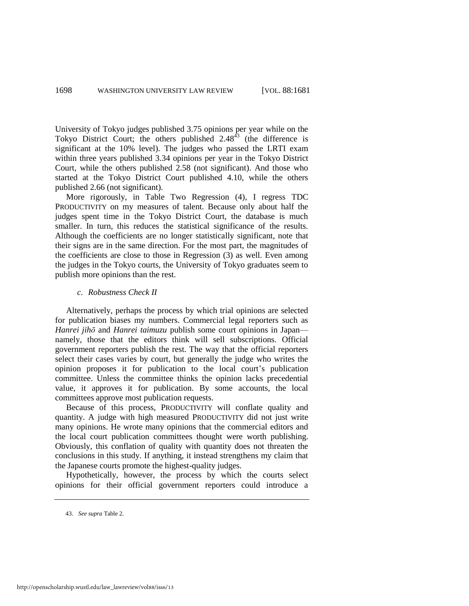University of Tokyo judges published 3.75 opinions per year while on the Tokyo District Court; the others published  $2.48<sup>43</sup>$  (the difference is significant at the 10% level). The judges who passed the LRTI exam within three years published 3.34 opinions per year in the Tokyo District Court, while the others published 2.58 (not significant). And those who started at the Tokyo District Court published 4.10, while the others published 2.66 (not significant).

More rigorously, in Table Two Regression (4), I regress TDC PRODUCTIVITY on my measures of talent. Because only about half the judges spent time in the Tokyo District Court, the database is much smaller. In turn, this reduces the statistical significance of the results. Although the coefficients are no longer statistically significant, note that their signs are in the same direction. For the most part, the magnitudes of the coefficients are close to those in Regression (3) as well. Even among the judges in the Tokyo courts, the University of Tokyo graduates seem to publish more opinions than the rest.

#### *c. Robustness Check II*

Alternatively, perhaps the process by which trial opinions are selected for publication biases my numbers. Commercial legal reporters such as *Hanrei jihō* and *Hanrei taimuzu* publish some court opinions in Japan namely, those that the editors think will sell subscriptions. Official government reporters publish the rest. The way that the official reporters select their cases varies by court, but generally the judge who writes the opinion proposes it for publication to the local court's publication committee. Unless the committee thinks the opinion lacks precedential value, it approves it for publication. By some accounts, the local committees approve most publication requests.

Because of this process, PRODUCTIVITY will conflate quality and quantity. A judge with high measured PRODUCTIVITY did not just write many opinions. He wrote many opinions that the commercial editors and the local court publication committees thought were worth publishing. Obviously, this conflation of quality with quantity does not threaten the conclusions in this study. If anything, it instead strengthens my claim that the Japanese courts promote the highest-quality judges.

Hypothetically, however, the process by which the courts select opinions for their official government reporters could introduce a

<sup>43.</sup> *See supra* Table 2.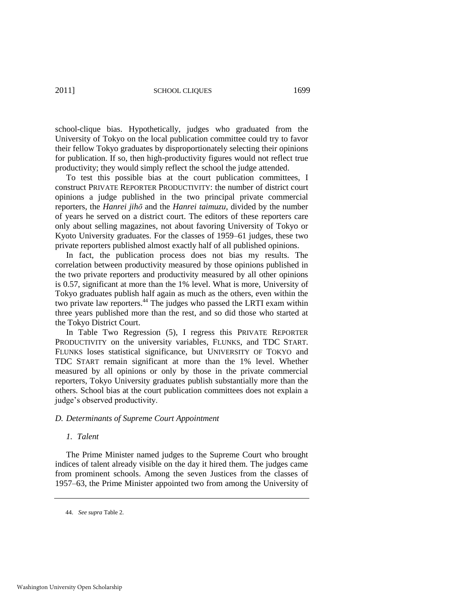school-clique bias. Hypothetically, judges who graduated from the University of Tokyo on the local publication committee could try to favor their fellow Tokyo graduates by disproportionately selecting their opinions for publication. If so, then high-productivity figures would not reflect true productivity; they would simply reflect the school the judge attended.

To test this possible bias at the court publication committees, I construct PRIVATE REPORTER PRODUCTIVITY: the number of district court opinions a judge published in the two principal private commercial reporters, the *Hanrei jihō* and the *Hanrei taimuzu*, divided by the number of years he served on a district court. The editors of these reporters care only about selling magazines, not about favoring University of Tokyo or Kyoto University graduates. For the classes of 1959–61 judges, these two private reporters published almost exactly half of all published opinions.

In fact, the publication process does not bias my results. The correlation between productivity measured by those opinions published in the two private reporters and productivity measured by all other opinions is 0.57, significant at more than the 1% level. What is more, University of Tokyo graduates publish half again as much as the others, even within the two private law reporters.<sup>44</sup> The judges who passed the LRTI exam within three years published more than the rest, and so did those who started at the Tokyo District Court.

In Table Two Regression (5), I regress this PRIVATE REPORTER PRODUCTIVITY on the university variables, FLUNKS, and TDC START. FLUNKS loses statistical significance, but UNIVERSITY OF TOKYO and TDC START remain significant at more than the 1% level. Whether measured by all opinions or only by those in the private commercial reporters, Tokyo University graduates publish substantially more than the others. School bias at the court publication committees does not explain a judge's observed productivity.

#### *D. Determinants of Supreme Court Appointment*

#### *1. Talent*

The Prime Minister named judges to the Supreme Court who brought indices of talent already visible on the day it hired them. The judges came from prominent schools. Among the seven Justices from the classes of 1957–63, the Prime Minister appointed two from among the University of

<sup>44.</sup> *See supra* Table 2.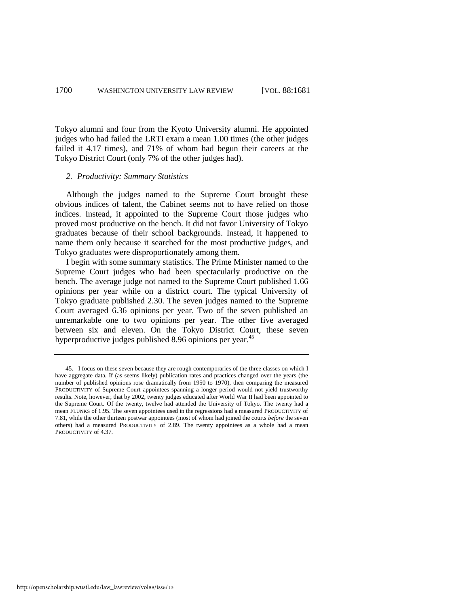Tokyo alumni and four from the Kyoto University alumni. He appointed judges who had failed the LRTI exam a mean 1.00 times (the other judges failed it 4.17 times), and 71% of whom had begun their careers at the Tokyo District Court (only 7% of the other judges had).

#### *2. Productivity: Summary Statistics*

Although the judges named to the Supreme Court brought these obvious indices of talent, the Cabinet seems not to have relied on those indices. Instead, it appointed to the Supreme Court those judges who proved most productive on the bench. It did not favor University of Tokyo graduates because of their school backgrounds. Instead, it happened to name them only because it searched for the most productive judges, and Tokyo graduates were disproportionately among them.

I begin with some summary statistics. The Prime Minister named to the Supreme Court judges who had been spectacularly productive on the bench. The average judge not named to the Supreme Court published 1.66 opinions per year while on a district court. The typical University of Tokyo graduate published 2.30. The seven judges named to the Supreme Court averaged 6.36 opinions per year. Two of the seven published an unremarkable one to two opinions per year. The other five averaged between six and eleven. On the Tokyo District Court, these seven hyperproductive judges published 8.96 opinions per year.<sup>45</sup>

<sup>45.</sup> I focus on these seven because they are rough contemporaries of the three classes on which I have aggregate data. If (as seems likely) publication rates and practices changed over the years (the number of published opinions rose dramatically from 1950 to 1970), then comparing the measured PRODUCTIVITY of Supreme Court appointees spanning a longer period would not yield trustworthy results. Note, however, that by 2002, twenty judges educated after World War II had been appointed to the Supreme Court. Of the twenty, twelve had attended the University of Tokyo. The twenty had a mean FLUNKS of 1.95. The seven appointees used in the regressions had a measured PRODUCTIVITY of 7.81, while the other thirteen postwar appointees (most of whom had joined the courts *before* the seven others) had a measured PRODUCTIVITY of 2.89. The twenty appointees as a whole had a mean PRODUCTIVITY of 4.37.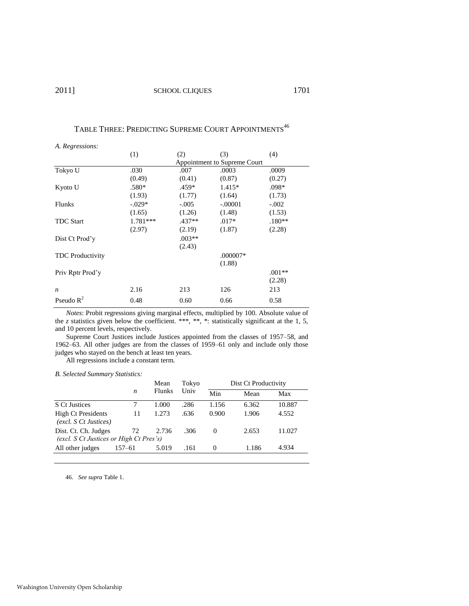### TABLE THREE: PREDICTING SUPREME COURT APPOINTMENTS<sup>46</sup>

|                         | (1)        | (2)      | (3)                          | (4)      |
|-------------------------|------------|----------|------------------------------|----------|
|                         |            |          | Appointment to Supreme Court |          |
| Tokyo U                 | .030       | .007     | .0003                        | .0009    |
|                         | (0.49)     | (0.41)   | (0.87)                       | (0.27)   |
| Kyoto U                 | $.580*$    | $.459*$  | $1.415*$                     | $.098*$  |
|                         | (1.93)     | (1.77)   | (1.64)                       | (1.73)   |
| Flunks                  | $-.029*$   | $-.005$  | $-.00001$                    | $-.002$  |
|                         | (1.65)     | (1.26)   | (1.48)                       | (1.53)   |
| <b>TDC Start</b>        | $1.781***$ | $.437**$ | $.017*$                      | $.180**$ |
|                         | (2.97)     | (2.19)   | (1.87)                       | (2.28)   |
| Dist Ct Prod'y          |            | $.003**$ |                              |          |
|                         |            | (2.43)   |                              |          |
| <b>TDC</b> Productivity |            |          | .000007*                     |          |
|                         |            |          | (1.88)                       |          |
| Priv Rptr Prod'y        |            |          |                              | $.001**$ |
|                         |            |          |                              | (2.28)   |
| $\boldsymbol{n}$        | 2.16       | 213      | 126                          | 213      |
| Pseudo $\mathbb{R}^2$   | 0.48       | 0.60     | 0.66                         | 0.58     |

the *z* statistics given below the coefficient. \*\*\*, \*\*, \*\*: statistically significant at the 1, 5, and 10 percent levels, respectively.

Supreme Court Justices include Justices appointed from the classes of 1957–58, and 1962–63. All other judges are from the classes of 1959–61 only and include only those judges who stayed on the bench at least ten years.

All regressions include a constant term.

*B. Selected Summary Statistics:* 

|                                                                 |        | Mean<br><b>Flunks</b> | Tokyo<br>Univ | Dist Ct Productivity |       |        |  |  |
|-----------------------------------------------------------------|--------|-----------------------|---------------|----------------------|-------|--------|--|--|
|                                                                 | n      |                       |               | Min                  | Mean  | Max    |  |  |
| S Ct Justices                                                   |        | 1.000                 | .286          | 1.156                | 6.362 | 10.887 |  |  |
| <b>High Ct Presidents</b><br>(excl. S Ct Justices)              | 11     | 1.273                 | .636          | 0.900                | 1.906 | 4.552  |  |  |
| Dist. Ct. Ch. Judges<br>(excl. S Ct Justices or High Ct Pres's) | 72     | 2.736                 | .306          | $\theta$             | 2.653 | 11.027 |  |  |
| All other judges                                                | 157–61 | 5.019                 | .161          | 0                    | 1.186 | 4.934  |  |  |
|                                                                 |        |                       |               |                      |       |        |  |  |

46. *See supra* Table 1.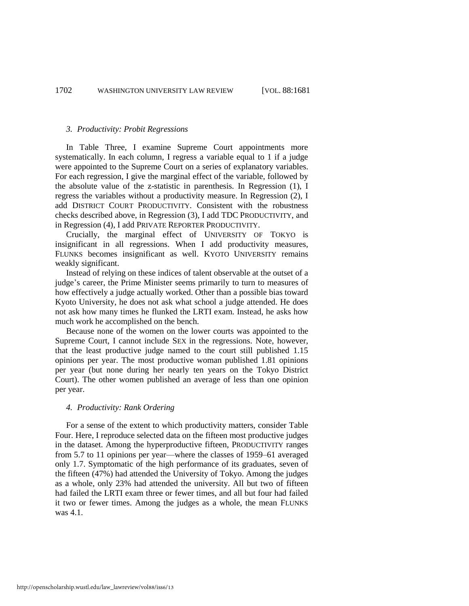#### *3. Productivity: Probit Regressions*

In Table Three, I examine Supreme Court appointments more systematically. In each column, I regress a variable equal to 1 if a judge were appointed to the Supreme Court on a series of explanatory variables. For each regression, I give the marginal effect of the variable, followed by the absolute value of the z-statistic in parenthesis. In Regression (1), I regress the variables without a productivity measure. In Regression (2), I add DISTRICT COURT PRODUCTIVITY. Consistent with the robustness checks described above, in Regression (3), I add TDC PRODUCTIVITY, and in Regression (4), I add PRIVATE REPORTER PRODUCTIVITY.

Crucially, the marginal effect of UNIVERSITY OF TOKYO is insignificant in all regressions. When I add productivity measures, FLUNKS becomes insignificant as well. KYOTO UNIVERSITY remains weakly significant.

Instead of relying on these indices of talent observable at the outset of a judge's career, the Prime Minister seems primarily to turn to measures of how effectively a judge actually worked. Other than a possible bias toward Kyoto University, he does not ask what school a judge attended. He does not ask how many times he flunked the LRTI exam. Instead, he asks how much work he accomplished on the bench.

Because none of the women on the lower courts was appointed to the Supreme Court, I cannot include SEX in the regressions. Note, however, that the least productive judge named to the court still published 1.15 opinions per year. The most productive woman published 1.81 opinions per year (but none during her nearly ten years on the Tokyo District Court). The other women published an average of less than one opinion per year.

#### *4. Productivity: Rank Ordering*

For a sense of the extent to which productivity matters, consider Table Four. Here, I reproduce selected data on the fifteen most productive judges in the dataset. Among the hyperproductive fifteen, PRODUCTIVITY ranges from 5.7 to 11 opinions per year—where the classes of 1959–61 averaged only 1.7. Symptomatic of the high performance of its graduates, seven of the fifteen (47%) had attended the University of Tokyo. Among the judges as a whole, only 23% had attended the university. All but two of fifteen had failed the LRTI exam three or fewer times, and all but four had failed it two or fewer times. Among the judges as a whole, the mean FLUNKS was 4.1.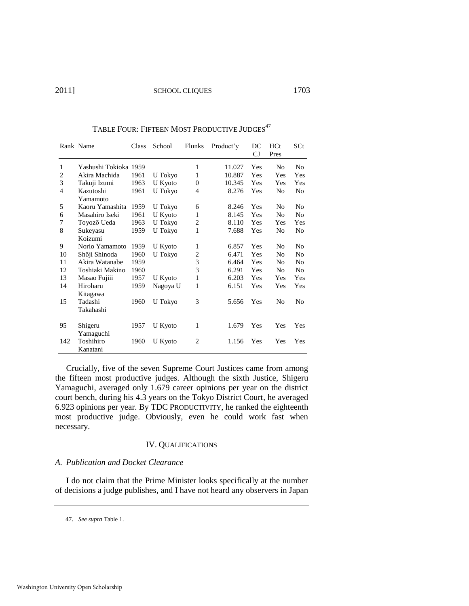2011] SCHOOL CLIQUES 1703

|                | Rank Name             | Class | School   | Flunks         | Product'y | DC<br>$C_{J}$ | HCt<br>Pres    | SCt            |
|----------------|-----------------------|-------|----------|----------------|-----------|---------------|----------------|----------------|
| 1              | Yashushi Tokioka 1959 |       |          | 1              | 11.027    | Yes           | No             | No             |
| $\overline{c}$ | Akira Machida         | 1961  | U Tokyo  | 1              | 10.887    | Yes           | Yes            | Yes            |
| 3              | Takuji Izumi          | 1963  | U Kyoto  | $\Omega$       | 10.345    | Yes           | Yes            | Yes            |
| 4              | Kazutoshi<br>Yamamoto | 1961  | U Tokyo  | 4              | 8.276     | Yes           | N <sub>0</sub> | No             |
| 5              | Kaoru Yamashita       | 1959  | U Tokyo  | 6              | 8.246     | Yes           | N <sub>0</sub> | N <sub>0</sub> |
| 6              | Masahiro Iseki        | 1961  | U Kyoto  | 1              | 8.145     | Yes           | No             | No             |
| 7              | Toyozō Ueda           | 1963  | U Tokyo  | 2              | 8.110     | Yes           | Yes            | Yes            |
| 8              | Sukeyasu<br>Koizumi   | 1959  | U Tokyo  | 1              | 7.688     | Yes           | No             | No             |
| 9              | Norio Yamamoto        | 1959  | U Kyoto  | 1              | 6.857     | Yes           | N <sub>0</sub> | N <sub>0</sub> |
| 10             | Shōji Shinoda         | 1960  | U Tokyo  | $\overline{2}$ | 6.471     | Yes           | No             | No             |
| 11             | Akira Watanabe        | 1959  |          | 3              | 6.464     | Yes           | No             | N <sub>0</sub> |
| 12             | Toshiaki Makino       | 1960  |          | 3              | 6.291     | Yes           | N <sub>0</sub> | N <sub>0</sub> |
| 13             | Masao Fujiii          | 1957  | U Kyoto  | 1              | 6.203     | Yes           | Yes            | Yes            |
| 14             | Hiroharu<br>Kitagawa  | 1959  | Nagoya U | 1              | 6.151     | Yes           | Yes            | Yes            |
| 15             | Tadashi<br>Takahashi  | 1960  | U Tokyo  | 3              | 5.656     | Yes           | N <sub>0</sub> | No             |
| 95             | Shigeru<br>Yamaguchi  | 1957  | U Kyoto  | 1              | 1.679     | Yes           | Yes            | Yes            |
| 142            | Toshihiro<br>Kanatani | 1960  | U Kyoto  | $\overline{2}$ | 1.156     | Yes           | Yes            | Yes            |

#### TABLE FOUR: FIFTEEN MOST PRODUCTIVE JUDGES<sup>47</sup>

Crucially, five of the seven Supreme Court Justices came from among the fifteen most productive judges. Although the sixth Justice, Shigeru Yamaguchi, averaged only 1.679 career opinions per year on the district court bench, during his 4.3 years on the Tokyo District Court, he averaged 6.923 opinions per year. By TDC PRODUCTIVITY, he ranked the eighteenth most productive judge. Obviously, even he could work fast when necessary.

#### IV. QUALIFICATIONS

#### *A. Publication and Docket Clearance*

I do not claim that the Prime Minister looks specifically at the number of decisions a judge publishes, and I have not heard any observers in Japan

47. *See supra* Table 1.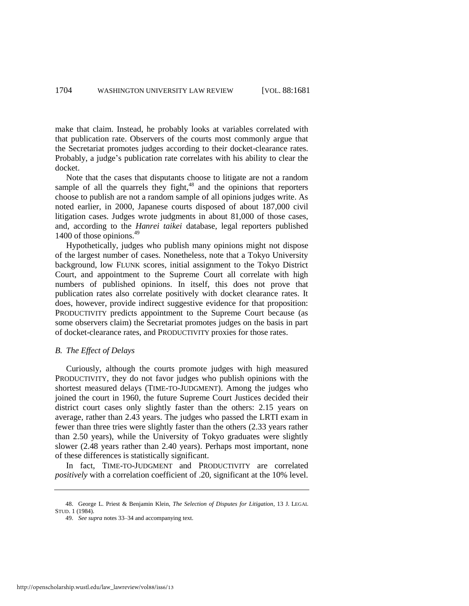make that claim. Instead, he probably looks at variables correlated with that publication rate. Observers of the courts most commonly argue that the Secretariat promotes judges according to their docket-clearance rates. Probably, a judge's publication rate correlates with his ability to clear the docket.

Note that the cases that disputants choose to litigate are not a random sample of all the quarrels they fight, $48$  and the opinions that reporters choose to publish are not a random sample of all opinions judges write. As noted earlier, in 2000, Japanese courts disposed of about 187,000 civil litigation cases. Judges wrote judgments in about 81,000 of those cases, and, according to the *Hanrei taikei* database, legal reporters published 1400 of those opinions.<sup>49</sup>

Hypothetically, judges who publish many opinions might not dispose of the largest number of cases. Nonetheless, note that a Tokyo University background, low FLUNK scores, initial assignment to the Tokyo District Court, and appointment to the Supreme Court all correlate with high numbers of published opinions. In itself, this does not prove that publication rates also correlate positively with docket clearance rates. It does, however, provide indirect suggestive evidence for that proposition: PRODUCTIVITY predicts appointment to the Supreme Court because (as some observers claim) the Secretariat promotes judges on the basis in part of docket-clearance rates, and PRODUCTIVITY proxies for those rates.

#### *B. The Effect of Delays*

Curiously, although the courts promote judges with high measured PRODUCTIVITY, they do not favor judges who publish opinions with the shortest measured delays (TIME-TO-JUDGMENT). Among the judges who joined the court in 1960, the future Supreme Court Justices decided their district court cases only slightly faster than the others: 2.15 years on average, rather than 2.43 years. The judges who passed the LRTI exam in fewer than three tries were slightly faster than the others (2.33 years rather than 2.50 years), while the University of Tokyo graduates were slightly slower (2.48 years rather than 2.40 years). Perhaps most important, none of these differences is statistically significant.

In fact, TIME-TO-JUDGMENT and PRODUCTIVITY are correlated *positively* with a correlation coefficient of .20, significant at the 10% level.

<sup>48.</sup> George L. Priest & Benjamin Klein, *The Selection of Disputes for Litigation*, 13 J. LEGAL STUD. 1 (1984).

<sup>49.</sup> *See supra* note[s 33](#page-12-1)[–34 a](#page-12-2)nd accompanying text.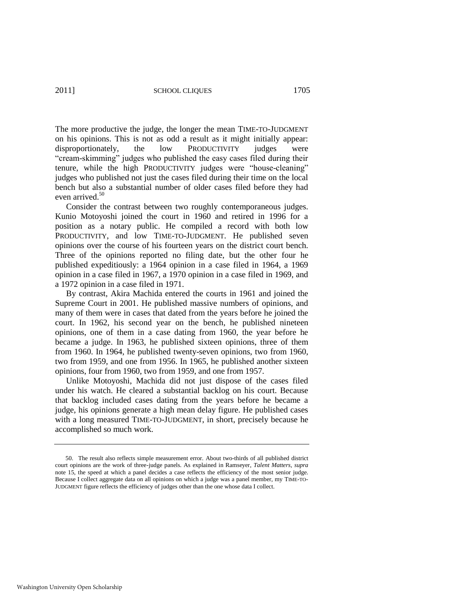The more productive the judge, the longer the mean TIME-TO-JUDGMENT on his opinions. This is not as odd a result as it might initially appear: disproportionately, the low PRODUCTIVITY judges were "cream-skimming" judges who published the easy cases filed during their tenure, while the high PRODUCTIVITY judges were "house-cleaning" judges who published not just the cases filed during their time on the local bench but also a substantial number of older cases filed before they had even arrived.<sup>50</sup>

Consider the contrast between two roughly contemporaneous judges. Kunio Motoyoshi joined the court in 1960 and retired in 1996 for a position as a notary public. He compiled a record with both low PRODUCTIVITY, and low TIME-TO-JUDGMENT. He published seven opinions over the course of his fourteen years on the district court bench. Three of the opinions reported no filing date, but the other four he published expeditiously: a 1964 opinion in a case filed in 1964, a 1969 opinion in a case filed in 1967, a 1970 opinion in a case filed in 1969, and a 1972 opinion in a case filed in 1971.

By contrast, Akira Machida entered the courts in 1961 and joined the Supreme Court in 2001. He published massive numbers of opinions, and many of them were in cases that dated from the years before he joined the court. In 1962, his second year on the bench, he published nineteen opinions, one of them in a case dating from 1960, the year before he became a judge. In 1963, he published sixteen opinions, three of them from 1960. In 1964, he published twenty-seven opinions, two from 1960, two from 1959, and one from 1956. In 1965, he published another sixteen opinions, four from 1960, two from 1959, and one from 1957.

Unlike Motoyoshi, Machida did not just dispose of the cases filed under his watch. He cleared a substantial backlog on his court. Because that backlog included cases dating from the years before he became a judge, his opinions generate a high mean delay figure. He published cases with a long measured TIME-TO-JUDGMENT, in short, precisely because he accomplished so much work.

<sup>50.</sup> The result also reflects simple measurement error. About two-thirds of all published district court opinions are the work of three-judge panels. As explained in Ramseyer, *Talent Matters*, *supra* note [15,](#page-6-0) the speed at which a panel decides a case reflects the efficiency of the most senior judge. Because I collect aggregate data on all opinions on which a judge was a panel member, my TIME-TO-JUDGMENT figure reflects the efficiency of judges other than the one whose data I collect.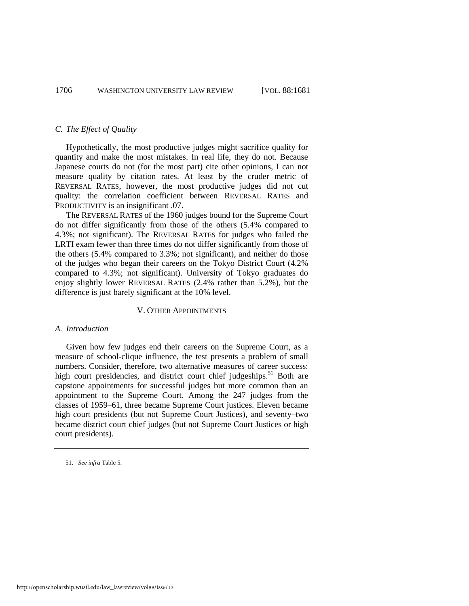#### *C. The Effect of Quality*

Hypothetically, the most productive judges might sacrifice quality for quantity and make the most mistakes. In real life, they do not. Because Japanese courts do not (for the most part) cite other opinions, I can not measure quality by citation rates. At least by the cruder metric of REVERSAL RATES, however, the most productive judges did not cut quality: the correlation coefficient between REVERSAL RATES and PRODUCTIVITY is an insignificant .07.

The REVERSAL RATES of the 1960 judges bound for the Supreme Court do not differ significantly from those of the others (5.4% compared to 4.3%; not significant). The REVERSAL RATES for judges who failed the LRTI exam fewer than three times do not differ significantly from those of the others (5.4% compared to 3.3%; not significant), and neither do those of the judges who began their careers on the Tokyo District Court (4.2% compared to 4.3%; not significant). University of Tokyo graduates do enjoy slightly lower REVERSAL RATES (2.4% rather than 5.2%), but the difference is just barely significant at the 10% level.

#### V. OTHER APPOINTMENTS

#### *A. Introduction*

Given how few judges end their careers on the Supreme Court, as a measure of school-clique influence, the test presents a problem of small numbers. Consider, therefore, two alternative measures of career success: high court presidencies, and district court chief judgeships.<sup>51</sup> Both are capstone appointments for successful judges but more common than an appointment to the Supreme Court. Among the 247 judges from the classes of 1959–61, three became Supreme Court justices. Eleven became high court presidents (but not Supreme Court Justices), and seventy–two became district court chief judges (but not Supreme Court Justices or high court presidents).

<sup>51.</sup> *See infra* Table 5.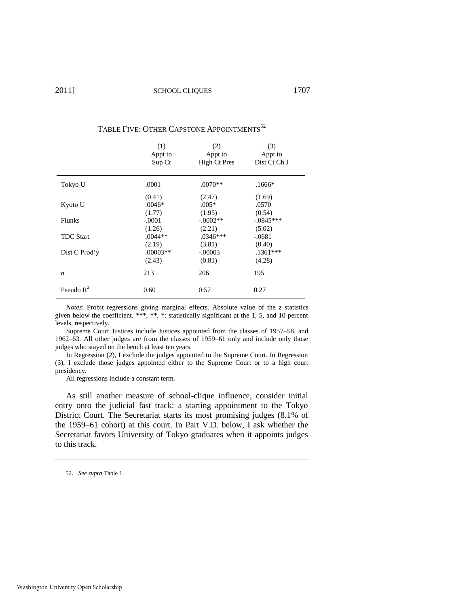|                  | (1)        | (2)          | (3)          |
|------------------|------------|--------------|--------------|
|                  | Appt to    | Appt to      | Appt to      |
|                  | Sup Ct     | High Ct Pres | Dist Ct Ch J |
| Tokyo U          | .0001      | $.0070**$    | $.1666*$     |
| Kyoto U          | (0.41)     | (2.47)       | (1.69)       |
|                  | $.0046*$   | $.005*$      | .0570        |
|                  | (1.77)     | (1.95)       | (0.54)       |
| Flunks           | $-.0001$   | $-.0002**$   | $-.0845***$  |
| <b>TDC</b> Start | (1.26)     | (2.21)       | (5.02)       |
|                  | $.0044**$  | $.0346***$   | $-.0681$     |
| Dist C Prod'y    | (2.19)     | (3.81)       | (0.40)       |
|                  | $.00003**$ | $-.00003$    | $.1361***$   |
|                  | (2.43)     | (0.81)       | (4.28)       |
| n                | 213        | 206          | 195          |
| Pseudo $R^2$     | 0.60       | 0.57         | 0.27         |

### TABLE FIVE: OTHER CAPSTONE APPOINTMENTS<sup>52</sup>

*Notes*: Probit regressions giving marginal effects. Absolute value of the *z* statistics given below the coefficient. \*\*\*, \*\*, \*: statistically significant at the 1, 5, and 10 percent levels, respectively.

Supreme Court Justices include Justices appointed from the classes of 1957–58, and 1962–63. All other judges are from the classes of 1959–61 only and include only those judges who stayed on the bench at least ten years.

In Regression (2), I exclude the judges appointed to the Supreme Court. In Regression (3), I exclude those judges appointed either to the Supreme Court or to a high court presidency.

All regressions include a constant term.

As still another measure of school-clique influence, consider initial entry onto the judicial fast track: a starting appointment to the Tokyo District Court. The Secretariat starts its most promising judges (8.1% of the 1959–61 cohort) at this court. In Part V.D. below, I ask whether the Secretariat favors University of Tokyo graduates when it appoints judges to this track.

<sup>52.</sup> *See supra* Table 1.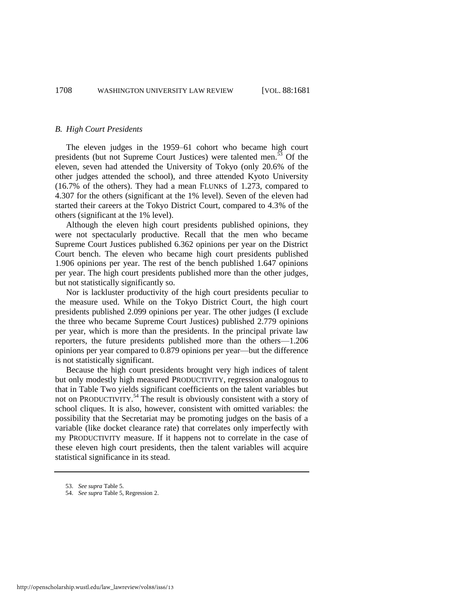#### *B. High Court Presidents*

The eleven judges in the 1959–61 cohort who became high court presidents (but not Supreme Court Justices) were talented men. $53$  Of the eleven, seven had attended the University of Tokyo (only 20.6% of the other judges attended the school), and three attended Kyoto University (16.7% of the others). They had a mean FLUNKS of 1.273, compared to 4.307 for the others (significant at the 1% level). Seven of the eleven had started their careers at the Tokyo District Court, compared to 4.3% of the others (significant at the 1% level).

Although the eleven high court presidents published opinions, they were not spectacularly productive. Recall that the men who became Supreme Court Justices published 6.362 opinions per year on the District Court bench. The eleven who became high court presidents published 1.906 opinions per year. The rest of the bench published 1.647 opinions per year. The high court presidents published more than the other judges, but not statistically significantly so.

Nor is lackluster productivity of the high court presidents peculiar to the measure used. While on the Tokyo District Court, the high court presidents published 2.099 opinions per year. The other judges (I exclude the three who became Supreme Court Justices) published 2.779 opinions per year, which is more than the presidents. In the principal private law reporters, the future presidents published more than the others—1.206 opinions per year compared to 0.879 opinions per year—but the difference is not statistically significant.

Because the high court presidents brought very high indices of talent but only modestly high measured PRODUCTIVITY, regression analogous to that in Table Two yields significant coefficients on the talent variables but not on PRODUCTIVITY.<sup>54</sup> The result is obviously consistent with a story of school cliques. It is also, however, consistent with omitted variables: the possibility that the Secretariat may be promoting judges on the basis of a variable (like docket clearance rate) that correlates only imperfectly with my PRODUCTIVITY measure. If it happens not to correlate in the case of these eleven high court presidents, then the talent variables will acquire statistical significance in its stead.

<sup>53.</sup> *See supra* Table 5.

<sup>54.</sup> *See supra* Table 5, Regression 2.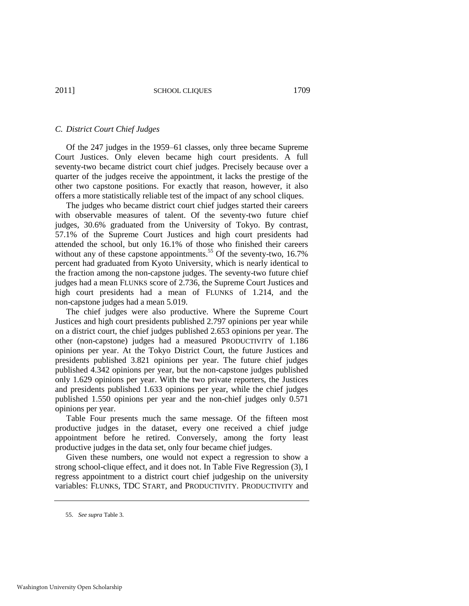#### *C. District Court Chief Judges*

Of the 247 judges in the 1959–61 classes, only three became Supreme Court Justices. Only eleven became high court presidents. A full seventy-two became district court chief judges. Precisely because over a quarter of the judges receive the appointment, it lacks the prestige of the other two capstone positions. For exactly that reason, however, it also offers a more statistically reliable test of the impact of any school cliques.

The judges who became district court chief judges started their careers with observable measures of talent. Of the seventy-two future chief judges, 30.6% graduated from the University of Tokyo. By contrast, 57.1% of the Supreme Court Justices and high court presidents had attended the school, but only 16.1% of those who finished their careers without any of these capstone appointments.<sup>55</sup> Of the seventy-two,  $16.7\%$ percent had graduated from Kyoto University, which is nearly identical to the fraction among the non-capstone judges. The seventy-two future chief judges had a mean FLUNKS score of 2.736, the Supreme Court Justices and high court presidents had a mean of FLUNKS of 1.214, and the non-capstone judges had a mean 5.019.

The chief judges were also productive. Where the Supreme Court Justices and high court presidents published 2.797 opinions per year while on a district court, the chief judges published 2.653 opinions per year. The other (non-capstone) judges had a measured PRODUCTIVITY of 1.186 opinions per year. At the Tokyo District Court, the future Justices and presidents published 3.821 opinions per year. The future chief judges published 4.342 opinions per year, but the non-capstone judges published only 1.629 opinions per year. With the two private reporters, the Justices and presidents published 1.633 opinions per year, while the chief judges published 1.550 opinions per year and the non-chief judges only 0.571 opinions per year.

Table Four presents much the same message. Of the fifteen most productive judges in the dataset, every one received a chief judge appointment before he retired. Conversely, among the forty least productive judges in the data set, only four became chief judges.

Given these numbers, one would not expect a regression to show a strong school-clique effect, and it does not. In Table Five Regression (3), I regress appointment to a district court chief judgeship on the university variables: FLUNKS, TDC START, and PRODUCTIVITY. PRODUCTIVITY and

<sup>55.</sup> *See supra* Table 3.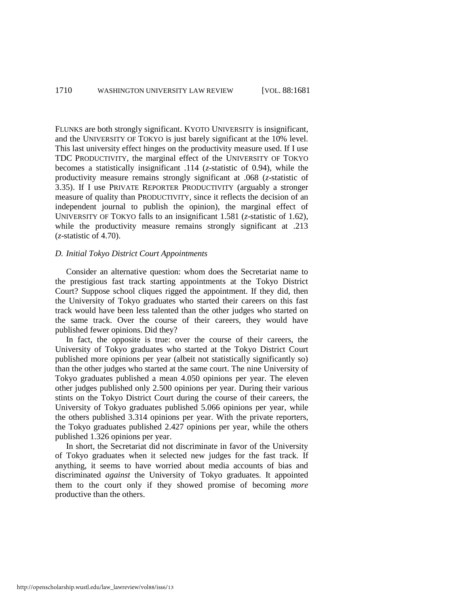FLUNKS are both strongly significant. KYOTO UNIVERSITY is insignificant, and the UNIVERSITY OF TOKYO is just barely significant at the 10% level. This last university effect hinges on the productivity measure used. If I use TDC PRODUCTIVITY, the marginal effect of the UNIVERSITY OF TOKYO becomes a statistically insignificant .114 (*z*-statistic of 0.94), while the productivity measure remains strongly significant at .068 (*z*-statistic of 3.35). If I use PRIVATE REPORTER PRODUCTIVITY (arguably a stronger measure of quality than PRODUCTIVITY, since it reflects the decision of an independent journal to publish the opinion), the marginal effect of UNIVERSITY OF TOKYO falls to an insignificant 1.581 (*z*-statistic of 1.62), while the productivity measure remains strongly significant at .213 (*z*-statistic of 4.70).

#### *D. Initial Tokyo District Court Appointments*

Consider an alternative question: whom does the Secretariat name to the prestigious fast track starting appointments at the Tokyo District Court? Suppose school cliques rigged the appointment. If they did, then the University of Tokyo graduates who started their careers on this fast track would have been less talented than the other judges who started on the same track. Over the course of their careers, they would have published fewer opinions. Did they?

In fact, the opposite is true: over the course of their careers, the University of Tokyo graduates who started at the Tokyo District Court published more opinions per year (albeit not statistically significantly so) than the other judges who started at the same court. The nine University of Tokyo graduates published a mean 4.050 opinions per year. The eleven other judges published only 2.500 opinions per year. During their various stints on the Tokyo District Court during the course of their careers, the University of Tokyo graduates published 5.066 opinions per year, while the others published 3.314 opinions per year. With the private reporters, the Tokyo graduates published 2.427 opinions per year, while the others published 1.326 opinions per year.

In short, the Secretariat did not discriminate in favor of the University of Tokyo graduates when it selected new judges for the fast track. If anything, it seems to have worried about media accounts of bias and discriminated *against* the University of Tokyo graduates. It appointed them to the court only if they showed promise of becoming *more* productive than the others.